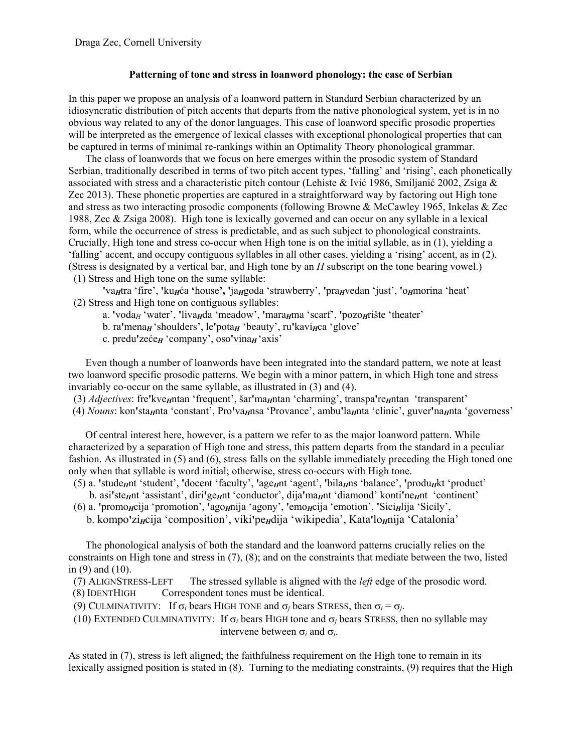## **Patterning of tone and stress in loanword phonology: the case of Serbian**

In this paper we propose an analysis of a loanword pattern in Standard Serbian characterized by an idiosyncratic distribution of pitch accents that departs from the native phonological system, yet is in no obvious way related to any of the donor languages. This case of loanword specific prosodic properties will be interpreted as the emergence of lexical classes with exceptional phonological properties that can be captured in terms of minimal re-rankings within an Optimality Theory phonological grammar.

The class of loanwords that we focus on here emerges within the prosodic system of Standard Serbian, traditionally described in terms of two pitch accent types, 'falling' and 'rising', each phonetically associated with stress and a characteristic pitch contour (Lehiste & Ivić 1986, Smiljanić 2002, Zsiga & Zec 2013). These phonetic properties are captured in a straightforward way by factoring out High tone and stress as two interacting prosodic components (following Browne & McCawley 1965, Inkelas & Zec 1988, Zec & Zsiga 2008). High tone is lexically governed and can occur on any syllable in a lexical form, while the occurrence of stress is predictable, and as such subject to phonological constraints. Crucially, High tone and stress co-occur when High tone is on the initial syllable, as in (1), yielding a 'falling' accent, and occupy contiguous syllables in all other cases, yielding a 'rising' accent, as in (2). (Stress is designated by a vertical bar, and High tone by an *H* subscript on the tone bearing vowel.) (1) Stress and High tone on the same syllable:

 **'**va*H*tra 'fire', **'**ku*H*ća **'**house**', '**ja*H*goda 'strawberry', **'**pra*H*vedan 'just', **'**o*H*morina 'heat' (2) Stress and High tone on contiguous syllables:

- a. **'**voda<sub>*H*</sub> 'water', 'liva<sub>H</sub>da 'meadow', 'mara<sub>H</sub>ma 'scarf', 'pozo<sub>H</sub>rište 'theater'
- b. ra'mena<sub>*H*</sub> 'shoulders', le'pota<sub>*H*</sub> 'beauty', ru'kavi<sub>H</sub>ca 'glove'
- c. predu**'**zeće*H* 'company', oso**'**vina*H* 'axis'

Even though a number of loanwords have been integrated into the standard pattern, we note at least two loanword specific prosodic patterns. We begin with a minor pattern, in which High tone and stress invariably co-occur on the same syllable, as illustrated in (3) and (4).

(3) *Adjectives*: fre**'**kve*H*ntan 'frequent', šar**'**ma*H*ntan 'charming', transpa**'**re*H*ntan 'transparent'

(4) *Nouns*: kon**'**sta*H*nta 'constant', Pro**'**va*H*nsa 'Provance', ambu**'**la*H*nta 'clinic', guver**'**na*H*nta 'governess'

Of central interest here, however, is a pattern we refer to as the major loanword pattern. While characterized by a separation of High tone and stress, this pattern departs from the standard in a peculiar fashion. As illustrated in (5) and (6), stress falls on the syllable immediately preceding the High toned one only when that syllable is word initial; otherwise, stress co-occurs with High tone.

- (5) a.  $\text{`student'}$  'student',  $\text{`document } \text{`faculty'}$ , ' $\text{age}_{H}$  t ' $\text{age}_{H}$ ,  $\text{`bilamps } \text{`balance'}$ ,  $\text{`product'}$ b. asi**'**ste*H*nt 'assistant', diri**'**ge*H*nt 'conductor', dija**'**ma*H*nt 'diamond' konti**'**ne*H*nt 'continent'
- (6) a. **'**promo*H*cija 'promotion', **'**ago*H*nija 'agony', **'**emo*H*cija 'emotion', **'**Sici*H*lija 'Sicily',
	- b. kompo**'**zi*H*cija 'composition', viki**'**pe*H*dija 'wikipedia', Kata**'**lo*H*nija 'Catalonia'

The phonological analysis of both the standard and the loanword patterns crucially relies on the constraints on High tone and stress in (7), (8); and on the constraints that mediate between the two, listed in (9) and (10).

(7) ALIGNSTRESS-LEFT The stressed syllable is aligned with the *left* edge of the prosodic word.

- (8) IDENTHIGH Correspondent tones must be identical.
- (9) CULMINATIVITY: If  $\sigma_i$  bears HIGH TONE and  $\sigma_j$  bears STRESS, then  $\sigma_i = \sigma_j$ .
- (10) EXTENDED CULMINATIVITY: If  $\sigma_i$  bears HIGH tone and  $\sigma_j$  bears STRESS, then no syllable may intervene between  $\sigma_i$  and  $\sigma_j$ .

As stated in (7), stress is left aligned; the faithfulness requirement on the High tone to remain in its lexically assigned position is stated in (8). Turning to the mediating constraints, (9) requires that the High